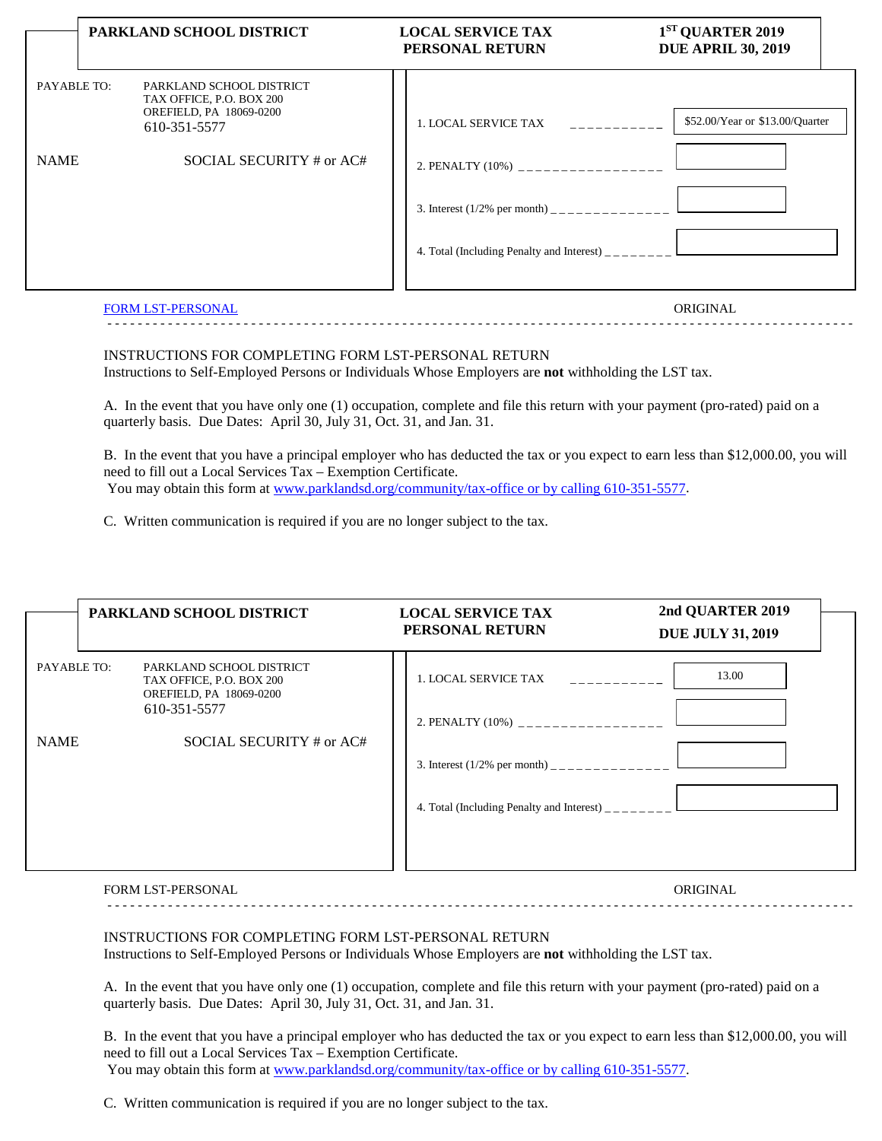|                            | PARKLAND SCHOOL DISTRICT                                                                                                    | <b>LOCAL SERVICE TAX</b><br>PERSONAL RETURN                                                                                                                                                      | 1 <sup>ST</sup> QUARTER 2019<br><b>DUE APRIL 30, 2019</b> |
|----------------------------|-----------------------------------------------------------------------------------------------------------------------------|--------------------------------------------------------------------------------------------------------------------------------------------------------------------------------------------------|-----------------------------------------------------------|
| PAYABLE TO:<br><b>NAME</b> | PARKLAND SCHOOL DISTRICT<br>TAX OFFICE, P.O. BOX 200<br>OREFIELD, PA 18069-0200<br>610-351-5577<br>SOCIAL SECURITY # or AC# | 1. LOCAL SERVICE TAX<br><u>in de de de de de</u><br>2. PENALTY (10%) __________________<br>3. Interest $(1/2\%$ per month) _______________<br>4. Total (Including Penalty and Interest) ________ | \$52.00/Year or \$13.00/Quarter                           |
|                            | <b>FORM LST-PERSONAL</b>                                                                                                    |                                                                                                                                                                                                  | ORIGINAL                                                  |

- - - - - - - - - - - - - - - - - - - - - - - - - - - - - - - - - - - - - - - - - - - - - - - - - - - - - - - - - - - - - - - - - - - - - - - - - - - - - - - - - - - - - - - - - - - - - - - - - - -

## INSTRUCTIONS FOR COMPLETING FORM LST-PERSONAL RETURN Instructions to Self-Employed Persons or Individuals Whose Employers are **not** withholding the LST tax.

A. In the event that you have only one (1) occupation, complete and file this return with your payment (pro-rated) paid on a quarterly basis. Due Dates: April 30, July 31, Oct. 31, and Jan. 31.

B. In the event that you have a principal employer who has deducted the tax or you expect to earn less than \$12,000.00, you will need to fill out a Local Services Tax – Exemption Certificate. You may obtain this form at [www.parklandsd.org/community/tax-office or by calling 610-351-5577.](http://www.parklandsd.org/community/tax-office%20or%20by%20calling%20610-351-5577)

C. Written communication is required if you are no longer subject to the tax.

|             | PARKLAND SCHOOL DISTRICT                                                                        | <b>LOCAL SERVICE TAX</b><br>PERSONAL RETURN                                               | 2nd QUARTER 2019<br><b>DUE JULY 31, 2019</b> |  |
|-------------|-------------------------------------------------------------------------------------------------|-------------------------------------------------------------------------------------------|----------------------------------------------|--|
| PAYABLE TO: | PARKLAND SCHOOL DISTRICT<br>TAX OFFICE, P.O. BOX 200<br>OREFIELD, PA 18069-0200<br>610-351-5577 | 1. LOCAL SERVICE TAX<br><u> 1999 - Labarat</u>                                            | 13.00                                        |  |
| <b>NAME</b> | SOCIAL SECURITY # or AC#                                                                        | 2. PENALTY (10%) __________________<br>4. Total (Including Penalty and Interest) ________ |                                              |  |

## FORM LST-PERSONAL ORIGINAL

## INSTRUCTIONS FOR COMPLETING FORM LST-PERSONAL RETURN

Instructions to Self-Employed Persons or Individuals Whose Employers are **not** withholding the LST tax.

A. In the event that you have only one (1) occupation, complete and file this return with your payment (pro-rated) paid on a quarterly basis. Due Dates: April 30, July 31, Oct. 31, and Jan. 31.

B. In the event that you have a principal employer who has deducted the tax or you expect to earn less than \$12,000.00, you will need to fill out a Local Services Tax – Exemption Certificate. You may obtain this form at [www.parklandsd.org/community/tax-office or by calling 610-351-5577.](http://www.parklandsd.org/community/tax-office%20or%20by%20calling%20610-351-5577)

- - - - - - - - - - - - - - - - - - - - - - - - - - - - - - - - - - - - - - - - - - - - - - - - - - - - - - - - - - - - - - - - - - - - - - - - - - - - - - - - - - - - - - - - - - - - - - - - - - -

C. Written communication is required if you are no longer subject to the tax.